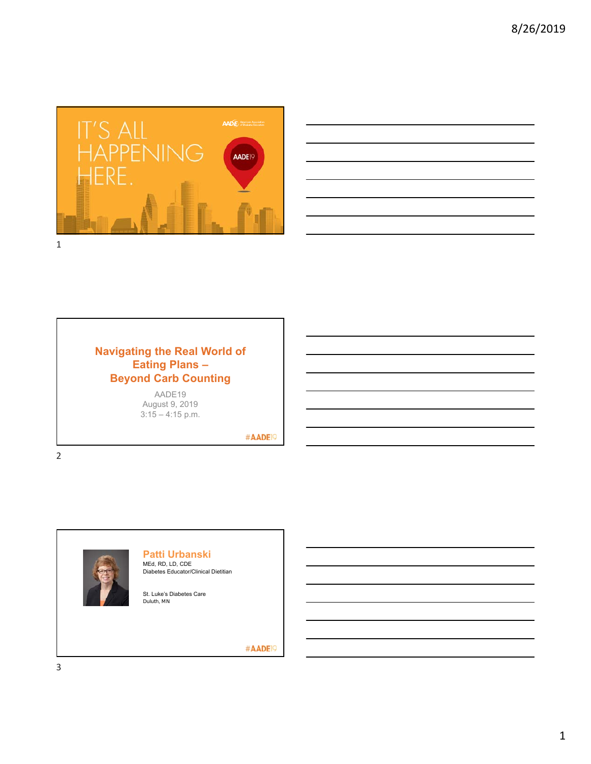



# **Navigating the Real World of Eating Plans – Beyond Carb Counting**

AADE19 August 9, 2019  $3:15 - 4:15$  p.m.

#AADE<sup>19</sup>



2



#### **Patti Urbanski** MEd, RD, LD, CDE

Diabetes Educator/Clinical Dietitian

St. Luke's Diabetes Care Duluth, MN

#AADE<sup>19</sup>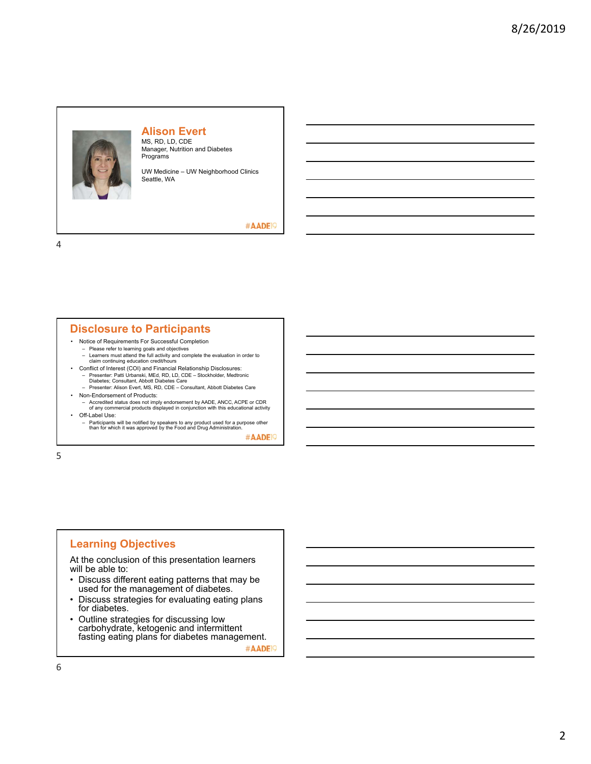

# **Alison Evert**

MS, RD, LD, CDE Manager, Nutrition and Diabetes Programs

UW Medicine – UW Neighborhood Clinics Seattle, WA

#AADE<sup>19</sup>

4

# **Disclosure to Participants**

- Notice of Requirements For Successful Completion
	- Please refer to learning goals and objectives
- Learners must attend the full activity and complete the evaluation in order to claim continuing education credit/hours • Conflict of Interest (COI) and Financial Relationship Disclosures:
	- Presenter: Patti Urbanski, MEd, RD, LD, CDE Stockholder, Medtronic Diabetes; Consultant, Abbott Diabetes Care
- Presenter: Alison Evert, MS, RD, CDE Consultant, Abbott Diabetes Care • Non-Endorsement of Products:
	- Accredited status does not imply endorsement by AADE, ANCC, ACPE or CDR of any commercial products displayed in conjunction with this educational activity
- Off-Label Use:
- Participants will be notified by speakers to any product used for a purpose other than for which it was approved by the Food and Drug Administration.

#AADE<sup>19</sup>

5

# **Learning Objectives**

At the conclusion of this presentation learners will be able to:

- Discuss different eating patterns that may be used for the management of diabetes.
- Discuss strategies for evaluating eating plans for diabetes.
- Outline strategies for discussing low carbohydrate, ketogenic and intermittent fasting eating plans for diabetes management. #AADE<sup>19</sup>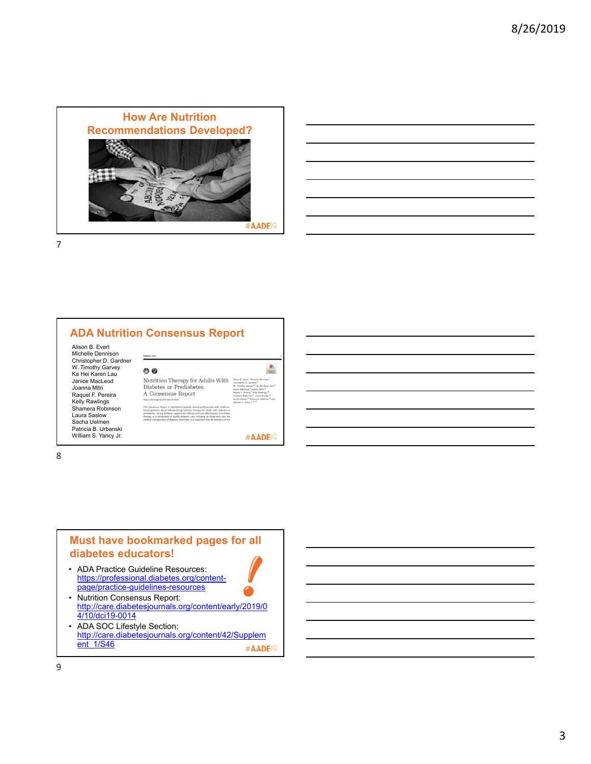



Alison B. Evert Michelle Dennison Christopher D. Gardner W. Timothy Garvey Ka Hei Karen Lau Janice MacLeod Joanna Mitri Raquel F. Pereira Kelly Rawlings Shamera Robinson Laura Saslow Sacha Uelmen Patricia B. Urbanski William S. Yancy Jr.

| ை இ                                                                                                                                                                                                                                                                                                                                                                                                                                             |                                                                                                                                                                                                                                                                                                                                                                                                                              |
|-------------------------------------------------------------------------------------------------------------------------------------------------------------------------------------------------------------------------------------------------------------------------------------------------------------------------------------------------------------------------------------------------------------------------------------------------|------------------------------------------------------------------------------------------------------------------------------------------------------------------------------------------------------------------------------------------------------------------------------------------------------------------------------------------------------------------------------------------------------------------------------|
| Nutrition Therapy for Adults With<br>Diabetes or Prediabetes:<br>A Consensus Report<br>https://doi.org/10.2337/dc/19-0014                                                                                                                                                                                                                                                                                                                       | Alson B. Evert. <sup>1</sup> Michelle Dennison. <sup>2</sup><br>Christopher D. Gardner. <sup>3</sup><br>W. Timothy Garvey, 4.5 Ko Hei Karen Lau, 4<br>Jonice MacLeod," Joanna Mitri,"<br>Roquel F. Pereira, <sup>9</sup> Kelly Rowlings, <sup>33</sup><br>Shamera Robinson. <sup>21</sup> Laura Saslow. <sup>12</sup><br>Socho Lielmen, <sup>22</sup> Putricio B. Litbonski, <sup>22</sup> and<br>William S. Yancy Jr. 14.11 |
| This Consensus Report is intended to provide clinical professionals with evidence-<br>based guidance about individualizing nutrition therapy for adults with diabetes or<br>prediabetes. Strong evidence supports the efficacy and cost-effectiveness of nutrition<br>therapy as a component of quality diabetes care, including its integration into the<br>medical management of diabetes; therefore, it is important that all members of the |                                                                                                                                                                                                                                                                                                                                                                                                                              |

#AADE<sup>19</sup>

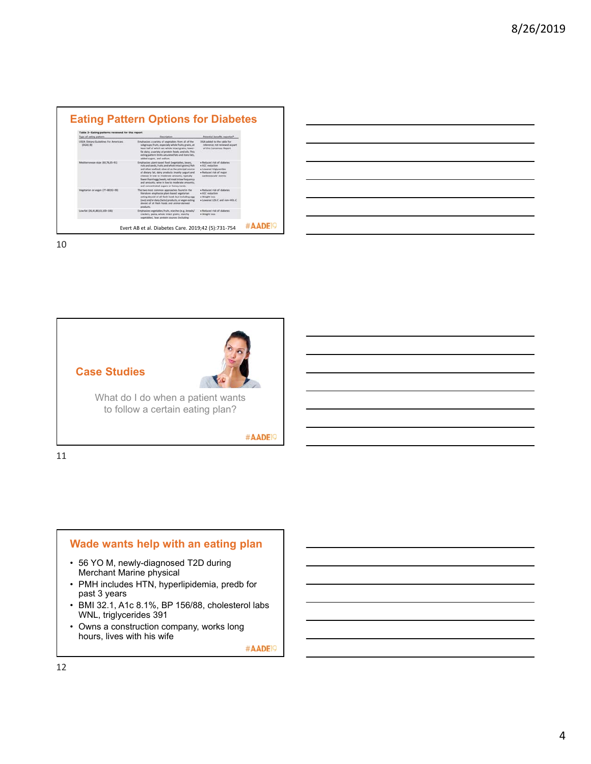| Table 3-Eating patterns reviewed for this report.<br>Type of esting pattern | Desiription                                                                                                                                                                                                                                                                                                                                                                                                               | Potential benefits reported*                                                                                                 |
|-----------------------------------------------------------------------------|---------------------------------------------------------------------------------------------------------------------------------------------------------------------------------------------------------------------------------------------------------------------------------------------------------------------------------------------------------------------------------------------------------------------------|------------------------------------------------------------------------------------------------------------------------------|
| USDA Dietary Guidelines For Americans<br><b>IDGAI III</b>                   | Emphasizes a variety of vegetables from all of the<br>subgroups: fruits, especially whole fruits; grains, at<br>least half of which are whole intact grains; lower-<br>fut dairy; a variety of protein foods; and oils. This<br>eating pattern limits saturated futs and trans fats.<br>added sugars, and sodium.                                                                                                         | DGA added to the table for<br>reference: not reviewed as part<br>of this Consensus Report                                    |
| Mediterranean-ttyle (ER.76.85-91)                                           | Emphasizes plant-based food (wegetables, beans,<br>ruts and seeds, fruits, and whole intact grains); fish<br>and ather seafood; olive oil as the principal source<br>of dietary fut; dairy preducts (mainly yegurt and<br>cheese) in low to moderate amounts; typically<br>finant than Anggr/week; red meat in low-frequency<br>and amounts; wine in low to moderate amounts;<br>and concentrated sugars or honey rarely. | · Reduced risk of disbetes<br>· AIC reduction<br>· Lowered triglycerides<br>· Reduced risk of major<br>cardiovascular events |
| Vegetation or vegan (77-80.93-99)                                           | The two most common approaches found in the<br>literature emphasize plant-based vepstarian<br>eating devoid of all flesh foods but including rigg<br>(invol and/or dairy (facto) products, or vegan eating<br>devoid of all fiesh hoods and animal-derived<br>products.                                                                                                                                                   | · Reduced risk of disbetes:<br>· A1C reduction<br>· Weight loss<br>· Lowered LTC-C and non-HDL-C                             |
| Low-fat (26.45.80.83.100-106)                                               | Emphasizes vegetables, fruits, stanifies (e.g., breads/<br>crackers, pasta, whole intact grains, starchy<br>segetables), lean protein sources (including                                                                                                                                                                                                                                                                  | a Reduced risk of disturbes.<br>· Weight loss                                                                                |

| <u> 1989 - Johann Stoff, amerikansk politiker (d. 1989)</u>                                                           |  |  |
|-----------------------------------------------------------------------------------------------------------------------|--|--|
| <u> 2000 - Andrea Andrew Maria (h. 1888).</u>                                                                         |  |  |
| <u> 1989 - Johann Harry Harry Harry Harry Harry Harry Harry Harry Harry Harry Harry Harry Harry Harry Harry Harry</u> |  |  |
|                                                                                                                       |  |  |
| <u> 1989 - Johann Harry Harry Harry Harry Harry Harry Harry Harry Harry Harry Harry Harry Harry Harry Harry Harry</u> |  |  |
| <u> 1989 - Johann Harry Harry Harry Harry Harry Harry Harry Harry Harry Harry Harry Harry Harry Harry Harry Harry</u> |  |  |
| ,我们也不会有什么。""我们的人,我们也不会有什么?""我们的人,我们也不会有什么?""我们的人,我们也不会有什么?""我们的人,我们也不会有什么?""我们的人                                      |  |  |



11

# **Wade wants help with an eating plan**

- 56 YO M, newly-diagnosed T2D during Merchant Marine physical
- PMH includes HTN, hyperlipidemia, predb for past 3 years
- BMI 32.1, A1c 8.1%, BP 156/88, cholesterol labs WNL, triglycerides 391
- Owns a construction company, works long hours, lives with his wife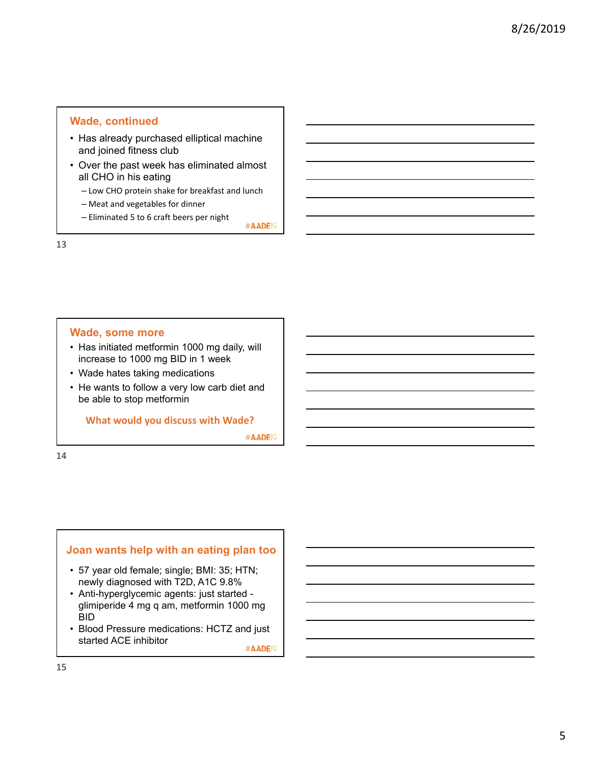# **Wade, continued**

- Has already purchased elliptical machine and joined fitness club
- Over the past week has eliminated almost all CHO in his eating
	- Low CHO protein shake for breakfast and lunch
	- Meat and vegetables for dinner
	- Eliminated 5 to 6 craft beers per night

#AADE<sup>19</sup>

13

# **Wade, some more**

- Has initiated metformin 1000 mg daily, will increase to 1000 mg BID in 1 week
- Wade hates taking medications
- He wants to follow a very low carb diet and be able to stop metformin

**What would you discuss with Wade?**

#AADE<sup>19</sup>

14

# **Joan wants help with an eating plan too**

- 57 year old female; single; BMI: 35; HTN; newly diagnosed with T2D, A1C 9.8%
- Anti-hyperglycemic agents: just started glimiperide 4 mg q am, metformin 1000 mg BID
- Blood Pressure medications: HCTZ and just started ACE inhibitor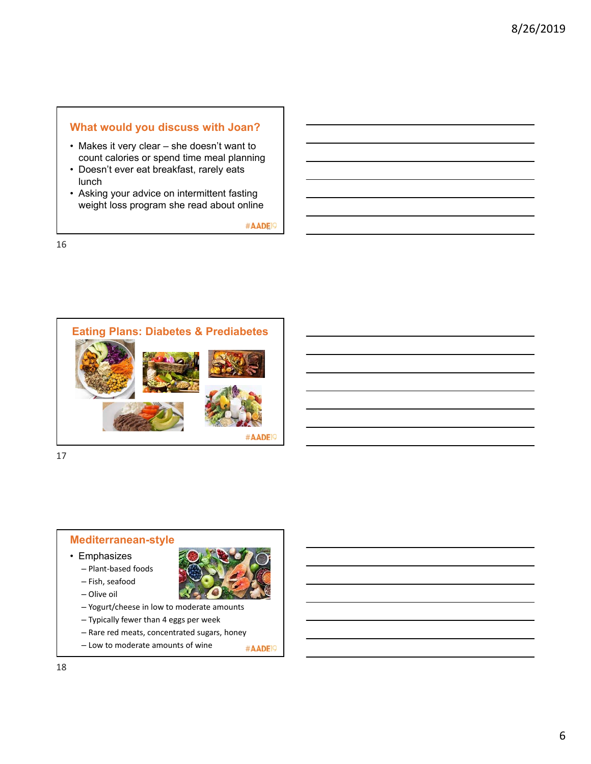# **What would you discuss with Joan?**

- Makes it very clear she doesn't want to count calories or spend time meal planning
- Doesn't ever eat breakfast, rarely eats lunch
- Asking your advice on intermittent fasting weight loss program she read about online

#AADE<sup>19</sup>

16



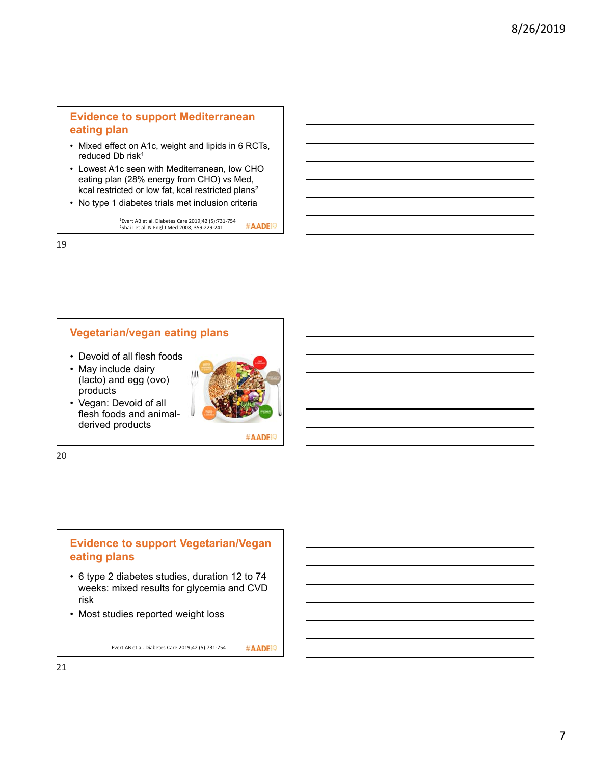# **Evidence to support Mediterranean eating plan**

- Mixed effect on A1c, weight and lipids in 6 RCTs, reduced Db risk<sup>1</sup>
- Lowest A1c seen with Mediterranean, low CHO eating plan (28% energy from CHO) vs Med, kcal restricted or low fat, kcal restricted plans2
- No type 1 diabetes trials met inclusion criteria

1Evert AB et al. Diabetes Care 2019;42 (5):731‐754 2Shai I et al. N Engl J Med 2008; 359:229‐241 #AADE<sup>19</sup>

19

# **Vegetarian/vegan eating plans**

- Devoid of all flesh foods
- May include dairy (lacto) and egg (ovo) products
- Vegan: Devoid of all flesh foods and animalderived products



#AADE<sup>19</sup>

20

# **Evidence to support Vegetarian/Vegan eating plans**

- 6 type 2 diabetes studies, duration 12 to 74 weeks: mixed results for glycemia and CVD risk
- Most studies reported weight loss

Evert AB et al. Diabetes Care 2019;42 (5):731‐754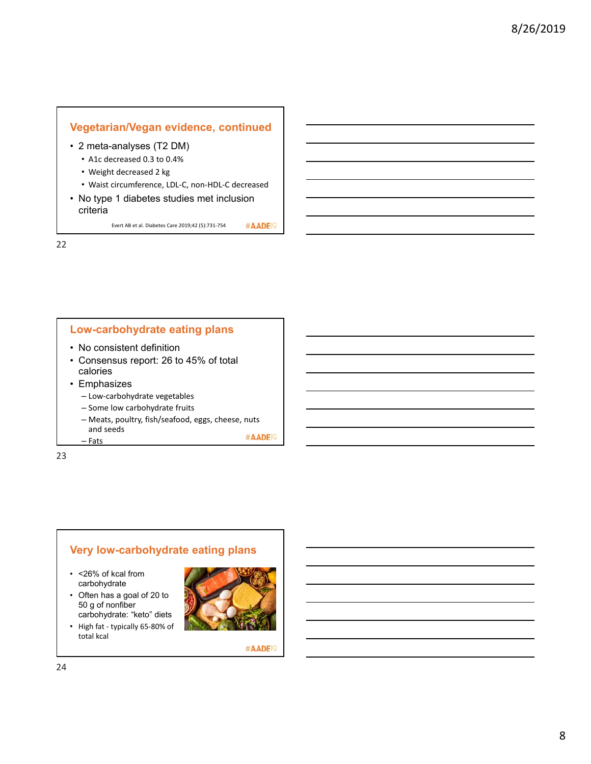

Evert AB et al. Diabetes Care 2019;42 (5):731‐754

22

# **Low-carbohydrate eating plans**

- No consistent definition
- Consensus report: 26 to 45% of total calories
- Emphasizes
	- Low‐carbohydrate vegetables
	- Some low carbohydrate fruits
	- Meats, poultry, fish/seafood, eggs, cheese, nuts and seeds #AADE<sup>19</sup>

– Fats

23

# **Very low-carbohydrate eating plans**

- <26% of kcal from carbohydrate
- Often has a goal of 20 to 50 g of nonfiber carbohydrate: "keto" diets
- High fat ‐ typically 65‐80% of total kcal

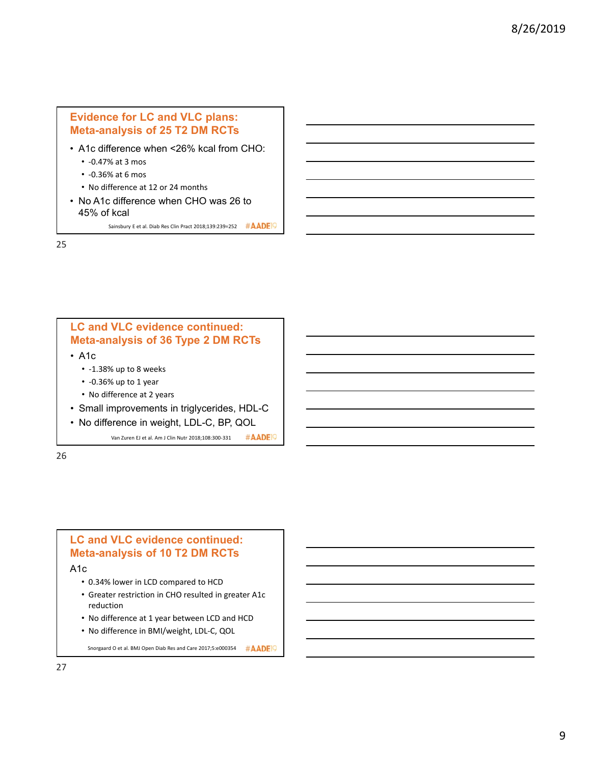# **Evidence for LC and VLC plans: Meta-analysis of 25 T2 DM RCTs**

- A1c difference when <26% kcal from CHO:
	- ‐0.47% at 3 mos
	- ‐0.36% at 6 mos
	- No difference at 12 or 24 months
- No A1c difference when CHO was 26 to 45% of kcal

Sainsbury E et al. Diab Res Clin Pract 2018;139:239=252 #AADE

25

# **LC and VLC evidence continued: Meta-analysis of 36 Type 2 DM RCTs**

- A1c
	- ‐1.38% up to 8 weeks
	- ‐0.36% up to 1 year
	- No difference at 2 years
- Small improvements in triglycerides, HDL-C
- No difference in weight, LDL-C, BP, QOL

Van Zuren EJ et al. Am J Clin Nutr 2018;108:300‐331 #AADE<sup>1</sup>

26

# **LC and VLC evidence continued: Meta-analysis of 10 T2 DM RCTs**

A1c

- 0.34% lower in LCD compared to HCD
- Greater restriction in CHO resulted in greater A1c reduction
- No difference at 1 year between LCD and HCD
- No difference in BMI/weight, LDL‐C, QOL

Snorgaard O et al. BMJ Open Diab Res and Care 2017;5:e000354 #AADE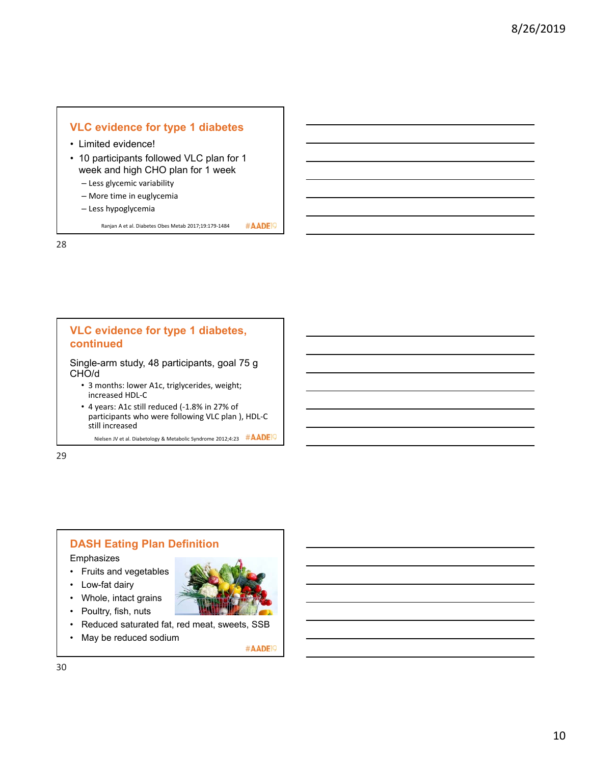# **VLC evidence for type 1 diabetes**

- Limited evidence!
- 10 participants followed VLC plan for 1 week and high CHO plan for 1 week
	- Less glycemic variability
	- More time in euglycemia
	- Less hypoglycemia

#AADE<sup>19</sup> Ranjan A et al. Diabetes Obes Metab 2017;19:179‐1484

28

# **VLC evidence for type 1 diabetes, continued** Single-arm study, 48 participants, goal 75 g

CHO/d

- 3 months: lower A1c, triglycerides, weight; increased HDL‐C
- 4 years: A1c still reduced (‐1.8% in 27% of participants who were following VLC plan ), HDL‐C still increased

Nielsen JV et al. Diabetology & Metabolic Syndrome 2012;4:23 #AADE

29

# **DASH Eating Plan Definition**

Emphasizes

- Fruits and vegetables
- Low-fat dairy
- Whole, intact grains
- Poultry, fish, nuts
- Reduced saturated fat, red meat, sweets, SSB
- May be reduced sodium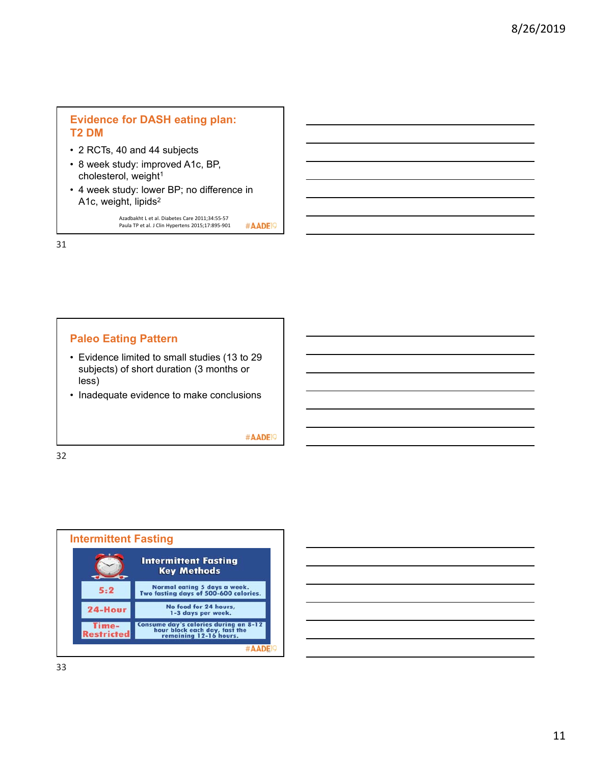# **Evidence for DASH eating plan: T2 DM**

- 2 RCTs, 40 and 44 subjects
- 8 week study: improved A1c, BP, cholesterol, weight<sup>1</sup>
- 4 week study: lower BP; no difference in A1c, weight, lipids2

Azadbakht L et al. Diabetes Care 2011;34:55‐57 Paula TP et al. J Clin Hypertens 2015;17:895‐901 #AADE<sup>19</sup>

31

# **Paleo Eating Pattern**

- Evidence limited to small studies (13 to 29 subjects) of short duration (3 months or less)
- Inadequate evidence to make conclusions

#AADE<sup>19</sup>



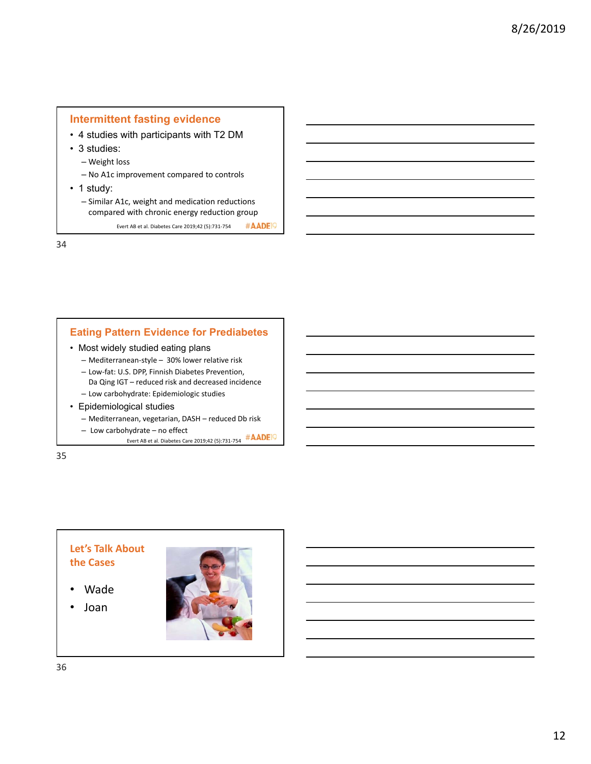# **Intermittent fasting evidence**

- 4 studies with participants with T2 DM
- 3 studies:
	- Weight loss
	- No A1c improvement compared to controls
- 1 study:
	- Similar A1c, weight and medication reductions compared with chronic energy reduction group

#AADE<sup>19</sup> Evert AB et al. Diabetes Care 2019;42 (5):731‐754

34

# **Eating Pattern Evidence for Prediabetes**

- Most widely studied eating plans
	- Mediterranean‐style 30% lower relative risk
	- Low‐fat: U.S. DPP, Finnish Diabetes Prevention,
	- Da Qing IGT reduced risk and decreased incidence
	- Low carbohydrate: Epidemiologic studies
- Epidemiological studies
	- Mediterranean, vegetarian, DASH reduced Db risk
	- Low carbohydrate no effect
		- Evert AB et al. Diabetes Care 2019;42 (5):731‐754

35

# **Let's Talk About the Cases**

- Wade
- Joan

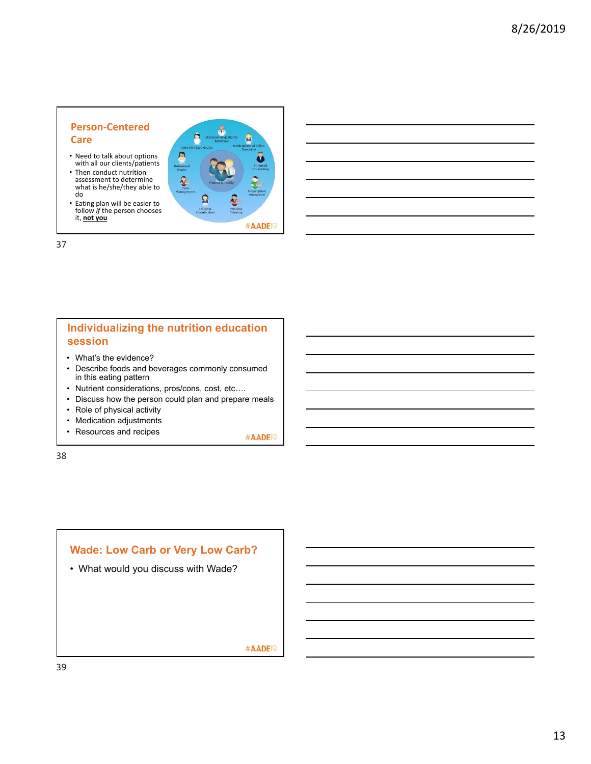## **Person‐Centered Care**

- Need to talk about options with all our clients/patients
- Then conduct nutrition assessment to determine what is he/she/they able to do
- Eating plan will be easier to follow *if* the person chooses it, **not you**



#### 37

# **Individualizing the nutrition education session**

- What's the evidence?
- Describe foods and beverages commonly consumed in this eating pattern
- Nutrient considerations, pros/cons, cost, etc….
- Discuss how the person could plan and prepare meals
- Role of physical activity
- Medication adjustments
- Resources and recipes

#AADE<sup>19</sup>

38

# **Wade: Low Carb or Very Low Carb?** • What would you discuss with Wade? #AADE<sup>19</sup>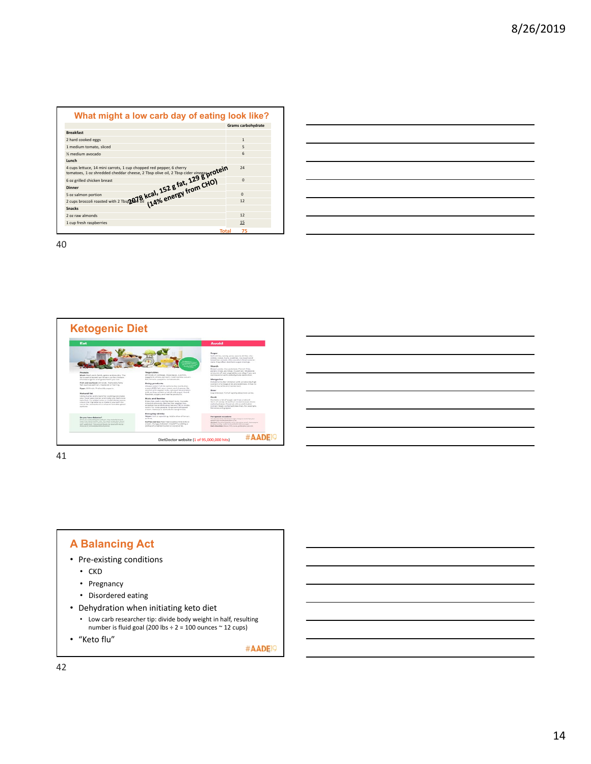

| $\sim$ $\sim$ $\sim$ |  |  |     |
|----------------------|--|--|-----|
|                      |  |  |     |
|                      |  |  |     |
|                      |  |  | ___ |
|                      |  |  |     |
|                      |  |  |     |



41

# **A Balancing Act**

- Pre‐existing conditions
	- CKD
	- Pregnancy
	- Disordered eating
- Dehydration when initiating keto diet
	- Low carb researcher tip: divide body weight in half, resulting number is fluid goal (200 lbs  $\div$  2 = 100 ounces  $\sim$  12 cups)
- "Keto flu"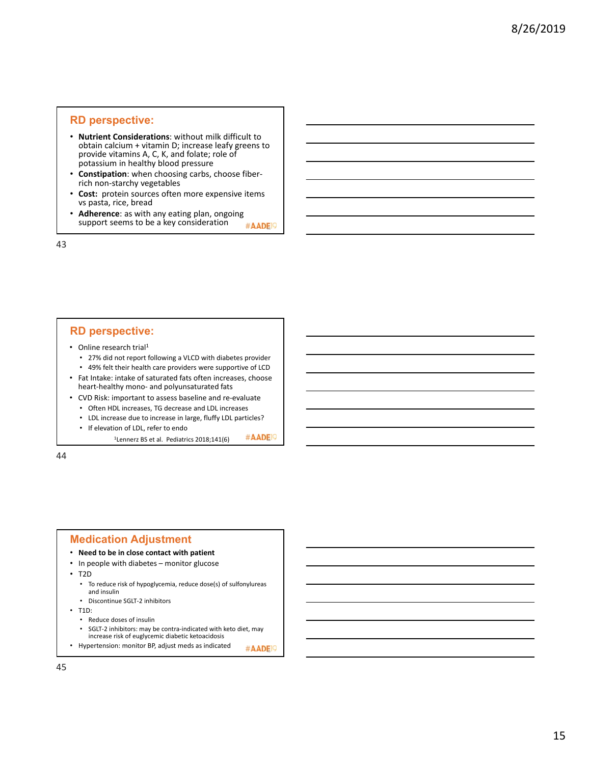#### **RD perspective:**

- **Nutrient Considerations**: without milk difficult to obtain calcium + vitamin D; increase leafy greens to provide vitamins A, C, K, and folate; role of potassium in healthy blood pressure
- **Constipation**: when choosing carbs, choose fiber‐ rich non‐starchy vegetables
- Cost: protein sources often more expensive items vs pasta, rice, bread
- **Adherence**: as with any eating plan, ongoing support seems to be a key consideration #AADE<sup>19</sup>

43

#### **RD perspective:**

- Online research trial<sup>1</sup>
	- 27% did not report following a VLCD with diabetes provider • 49% felt their health care providers were supportive of LCD
- Fat Intake: intake of saturated fats often increases, choose heart‐healthy mono‐ and polyunsaturated fats
- CVD Risk: important to assess baseline and re‐evaluate
	- Often HDL increases, TG decrease and LDL increases • LDL increase due to increase in large, fluffy LDL particles?
	- If elevation of LDL, refer to endo
		- <sup>1</sup>Lennerz BS et al. Pediatrics 2018;141(6) #AADEP

44

## **Medication Adjustment**

- **Need to be in close contact with patient**
- In people with diabetes monitor glucose

• T2D

- To reduce risk of hypoglycemia, reduce dose(s) of sulfonylureas and insulin
- Discontinue SGLT‐2 inhibitors
- T1D:
	- Reduce doses of insulin
	- SGLT‐2 inhibitors: may be contra‐indicated with keto diet, may increase risk of euglycemic diabetic ketoacidosis
- Hypertension: monitor BP, adjust meds as indicated  $\#ADEQ$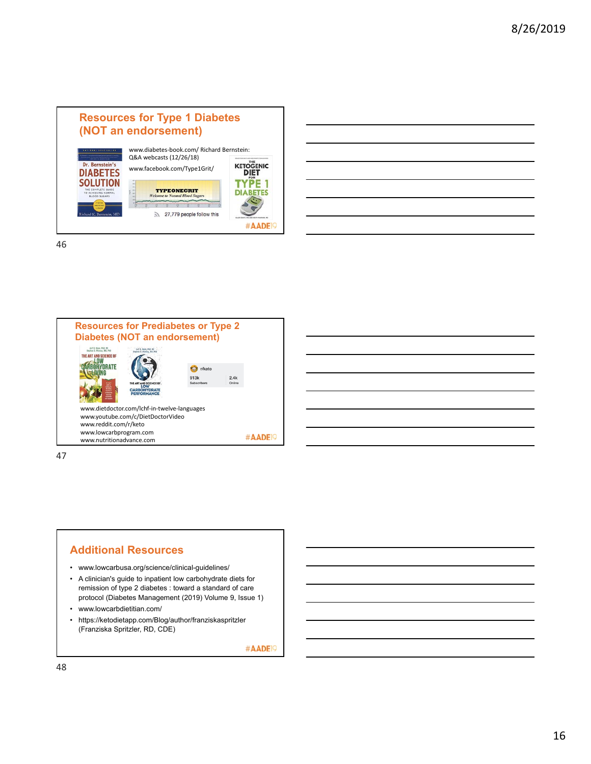





47

# **Additional Resources**

- www.lowcarbusa.org/science/clinical-guidelines/
- A clinician's guide to inpatient low carbohydrate diets for remission of type 2 diabetes : toward a standard of care protocol (Diabetes Management (2019) Volume 9, Issue 1)
- www.lowcarbdietitian.com/
- https://ketodietapp.com/Blog/author/franziskaspritzler (Franziska Spritzler, RD, CDE)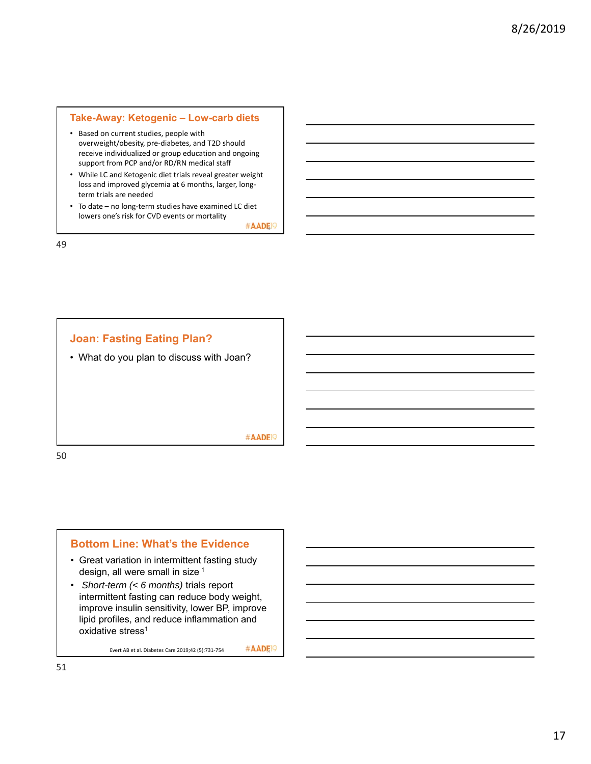#### **Take-Away: Ketogenic – Low-carb diets**

- Based on current studies, people with overweight/obesity, pre‐diabetes, and T2D should receive individualized or group education and ongoing support from PCP and/or RD/RN medical staff
- While LC and Ketogenic diet trials reveal greater weight loss and improved glycemia at 6 months, larger, long‐ term trials are needed
- To date no long‐term studies have examined LC diet lowers one's risk for CVD events or mortality

#AADEI9

49



#### **Bottom Line: What's the Evidence**

- Great variation in intermittent fasting study design, all were small in size 1
- *Short-term (< 6 months)* trials report intermittent fasting can reduce body weight, improve insulin sensitivity, lower BP, improve lipid profiles, and reduce inflammation and oxidative stress<sup>1</sup>

Evert AB et al. Diabetes Care 2019;42 (5):731-754  $\#$  ADE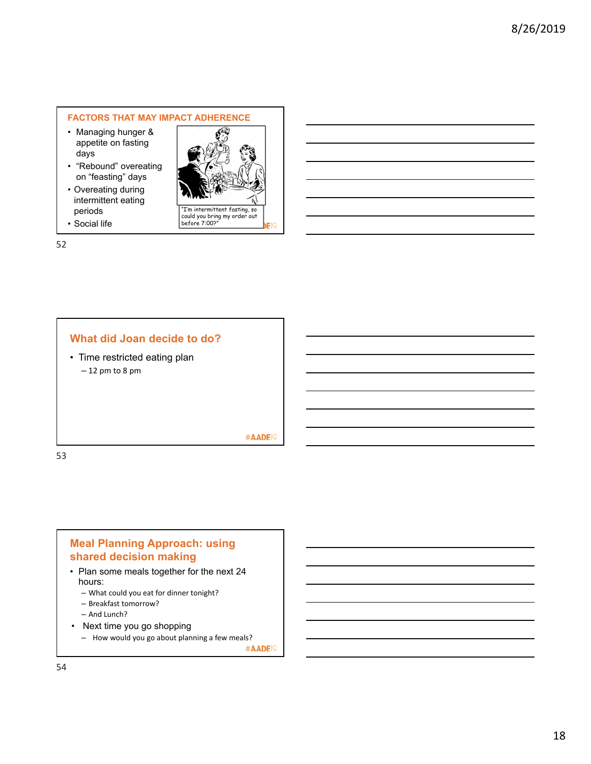#### **FACTORS THAT MAY IMPACT ADHERENCE**

- Managing hunger & appetite on fasting days
- "Rebound" overeating on "feasting" days
- Overeating during intermittent eating periods
- Social life

"I'm intermittent fasting, so could you bring my order out before 7:00?"

52

# **What did Joan decide to do?**

• Time restricted eating plan – 12 pm to 8 pm

#### #AADE<sup>19</sup>

53

# **Meal Planning Approach: using shared decision making**

- Plan some meals together for the next 24 hours:
	- What could you eat for dinner tonight?
	- Breakfast tomorrow?
	- And Lunch?
- Next time you go shopping
	- How would you go about planning a few meals?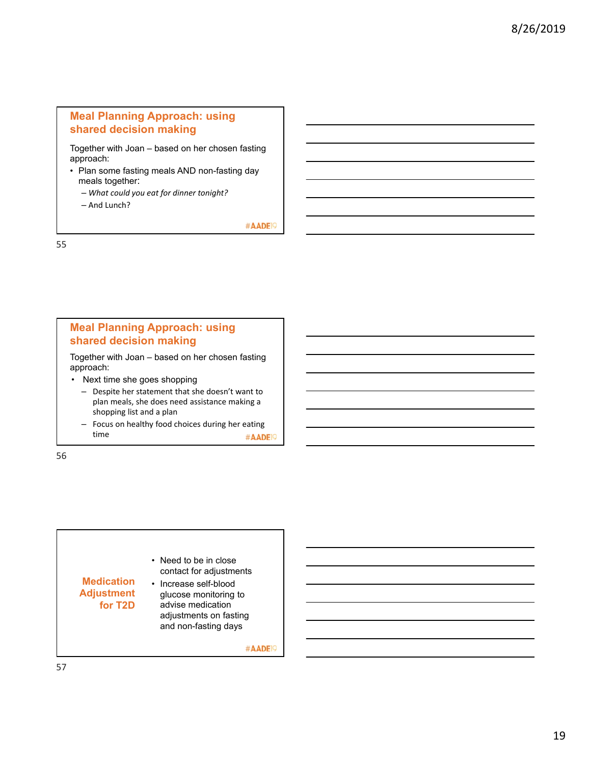# **Meal Planning Approach: using shared decision making**

Together with Joan – based on her chosen fasting approach:

- Plan some fasting meals AND non-fasting day meals together:
	- *What could you eat for dinner tonight?*
	- And Lunch?

#AADE<sup>19</sup>

55

# **Meal Planning Approach: using shared decision making**

Together with Joan – based on her chosen fasting approach:

- Next time she goes shopping
	- Despite her statement that she doesn't want to plan meals, she does need assistance making a shopping list and a plan
	- Focus on healthy food choices during her eating time #AADE<sup>19</sup>

56

• Need to be in close contact for adjustments **Medication**  • Increase self-blood **Adjustment**  glucose monitoring to **for T2D** advise medication adjustments on fasting and non-fasting days #AADE<sup>19</sup>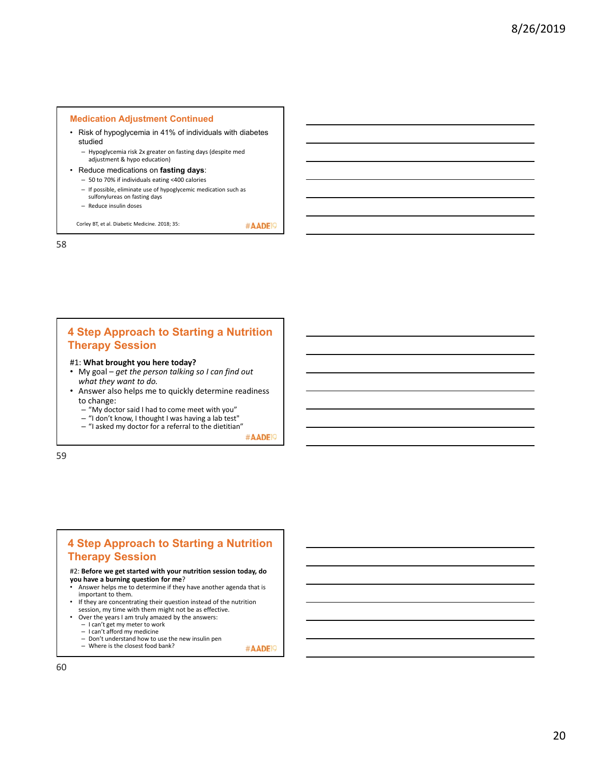#### **Medication Adjustment Continued**

- Risk of hypoglycemia in 41% of individuals with diabetes studied
	- Hypoglycemia risk 2x greater on fasting days (despite med adjustment & hypo education)
- Reduce medications on **fasting days**:
	- 50 to 70% if individuals eating <400 calories
	- If possible, eliminate use of hypoglycemic medication such as sulfonylureas on fasting days
	- Reduce insulin doses

Corley BT, et al. Diabetic Medicine. 2018; 35:

58

# **4 Step Approach to Starting a Nutrition Therapy Session**

#### #1: **What brought you here today?**

- My goal *get the person talking so I can find out what they want to do.*
- Answer also helps me to quickly determine readiness to change:
	- "My doctor said I had to come meet with you"
	- "I don't know, I thought I was having a lab test"
	- "I asked my doctor for a referral to the dietitian"<br>#AADEP

#AADE<sup>19</sup>

59

# **4 Step Approach to Starting a Nutrition Therapy Session**

#2: **Before we get started with your nutrition session today, do you have a burning question for me**?

- Answer helps me to determine if they have another agenda that is important to them.
- If they are concentrating their question instead of the nutrition
- session, my time with them might not be as effective.
- Over the years I am truly amazed by the answers: – I can't get my meter to work
- I can't afford my medicine
- 
- Don't understand how to use the new insulin pen Where is the closest food bank?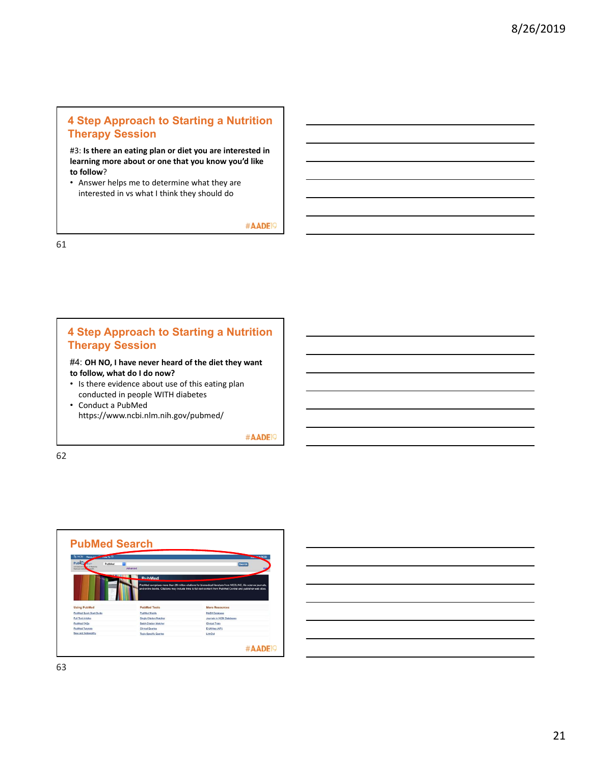# **4 Step Approach to Starting a Nutrition Therapy Session**

#3: **Is there an eating plan or diet you are interested in learning more about or one that you know you'd like to follow**?

• Answer helps me to determine what they are interested in vs what I think they should do

#AADE<sup>19</sup>

61

# **4 Step Approach to Starting a Nutrition Therapy Session**

#4: **OH NO, I have never heard of the diet they want to follow, what do I do now?**

- Is there evidence about use of this eating plan conducted in people WITH diabetes
- Conduct a PubMed https://www.ncbi.nlm.nih.gov/pubmed/

#AADE<sup>19</sup>

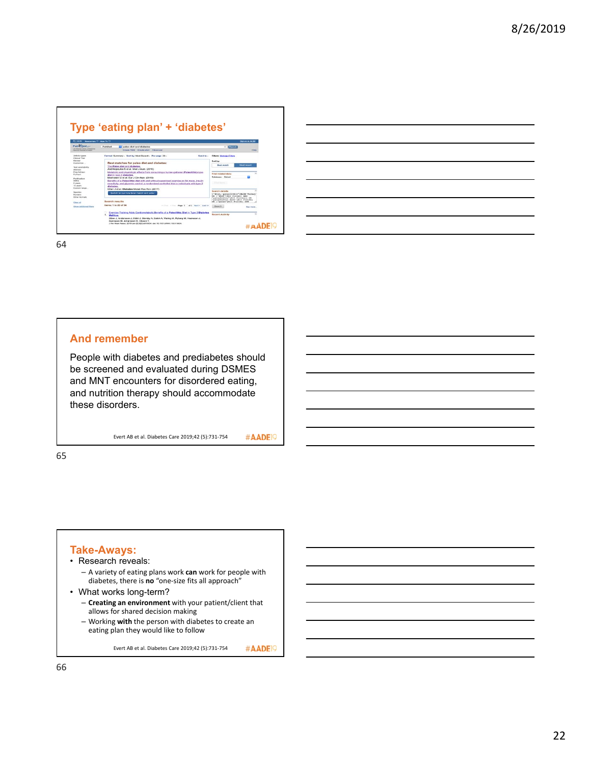| Resources 2 How To El<br><b>B NOW</b>                                       |                                                                                                                                                                                                       | Sign in to NCB                                                                                                                   |
|-----------------------------------------------------------------------------|-------------------------------------------------------------------------------------------------------------------------------------------------------------------------------------------------------|----------------------------------------------------------------------------------------------------------------------------------|
| Publ <sup>n</sup> ed.                                                       | PubMed<br>a paleo diet and diabetes                                                                                                                                                                   | <b>C</b> Bearch                                                                                                                  |
| SA National Library of Mastersey<br><b>Blackwood Graph Ave of Classific</b> | Create RSS Create alart Advanced                                                                                                                                                                      | <b>Help</b>                                                                                                                      |
| Article types<br>Climical Trial                                             | Format Summary - Sort by Most Recent - Per nane 20 -<br><b>Bend to -</b>                                                                                                                              | <b>Filters: Manage Filters</b>                                                                                                   |
| Review<br>Customize                                                         | Best matches for paleo diet and diabetes:                                                                                                                                                             | Sort by:                                                                                                                         |
| Text evailability<br>Ababiact                                               | The Paleo diet and diabetes.<br>Andrikopoulos S et al. Med J Aust. (2016).                                                                                                                            | <b>Most recent</b><br><b>Best match</b>                                                                                          |
| Free Sd text<br><b>East text</b>                                            | Metabolic and physiologic effects from consuming a hurder-gatherer (Paleolithic)-type<br>diet in type 2 diabetes.<br>Masharani U et al. Eur J Clin Nutr. (2015)                                       | Find related data<br>٠<br>Database: Select                                                                                       |
| Publication<br>dates<br>5 years<br>10 years<br>Custom nange                 | Benefits of a Paleolithic diet with and without supervised exercise on fat mass, insulin<br>sensitivity, and olycernic control: a randomized controlled trial in individuals with type 2<br>diabetes. | First Game 1                                                                                                                     |
| Species                                                                     | Otten J et al. Diabetes Metab Res Rev. (2017).                                                                                                                                                        | <b>Search details</b>                                                                                                            |
| <b>Humans</b><br>Other Animals                                              | Switch to our new best match sort order.                                                                                                                                                              | ('diet, paleolithic'(MeSH Terms)<br>OR ("diet"(All Fields) AND<br>"paleolithic"(All Fields)) OR<br>paleolithic diet"[All Fields] |
| Clear all                                                                   | <b>Search results</b>                                                                                                                                                                                 | OK ("paleo"/All Fields) AND                                                                                                      |
| Show additional filters                                                     | Hems: 1 to 20 of 34<br>on Ford on Floor. Place 11.<br>of 2 Next > Last >>                                                                                                                             | <b>Dearch</b><br>See more.                                                                                                       |
|                                                                             | Exercise Training Adds Cardiometabolic Benefits of a Paleolithic Diet in Type 2 Diabetes<br>۱.<br><b>Mellitus</b>                                                                                     | <b>Recent Activity</b>                                                                                                           |
|                                                                             | Otten J. Andersson J. Stähl J. Stomby A. Saleh A. Walleg M. Ryberg M. Hauksson J.<br>Syensson M. Johansson B. Olsson T.                                                                               |                                                                                                                                  |

# **And remember**

People with diabetes and prediabetes should be screened and evaluated during DSMES and MNT encounters for disordered eating, and nutrition therapy should accommodate these disorders.

Evert AB et al. Diabetes Care 2019;42 (5):731‐754

#AADE<sup>19</sup>

65

# **Take-Aways:**

- Research reveals: – A variety of eating plans work **can** work for people with
	- diabetes, there is **no** "one‐size fits all approach"
- What works long-term?
	- **Creating an environment** with your patient/client that allows for shared decision making
	- Working **with** the person with diabetes to create an eating plan they would like to follow

Evert AB et al. Diabetes Care 2019;42 (5):731‐754 #AADE<sup>19</sup>